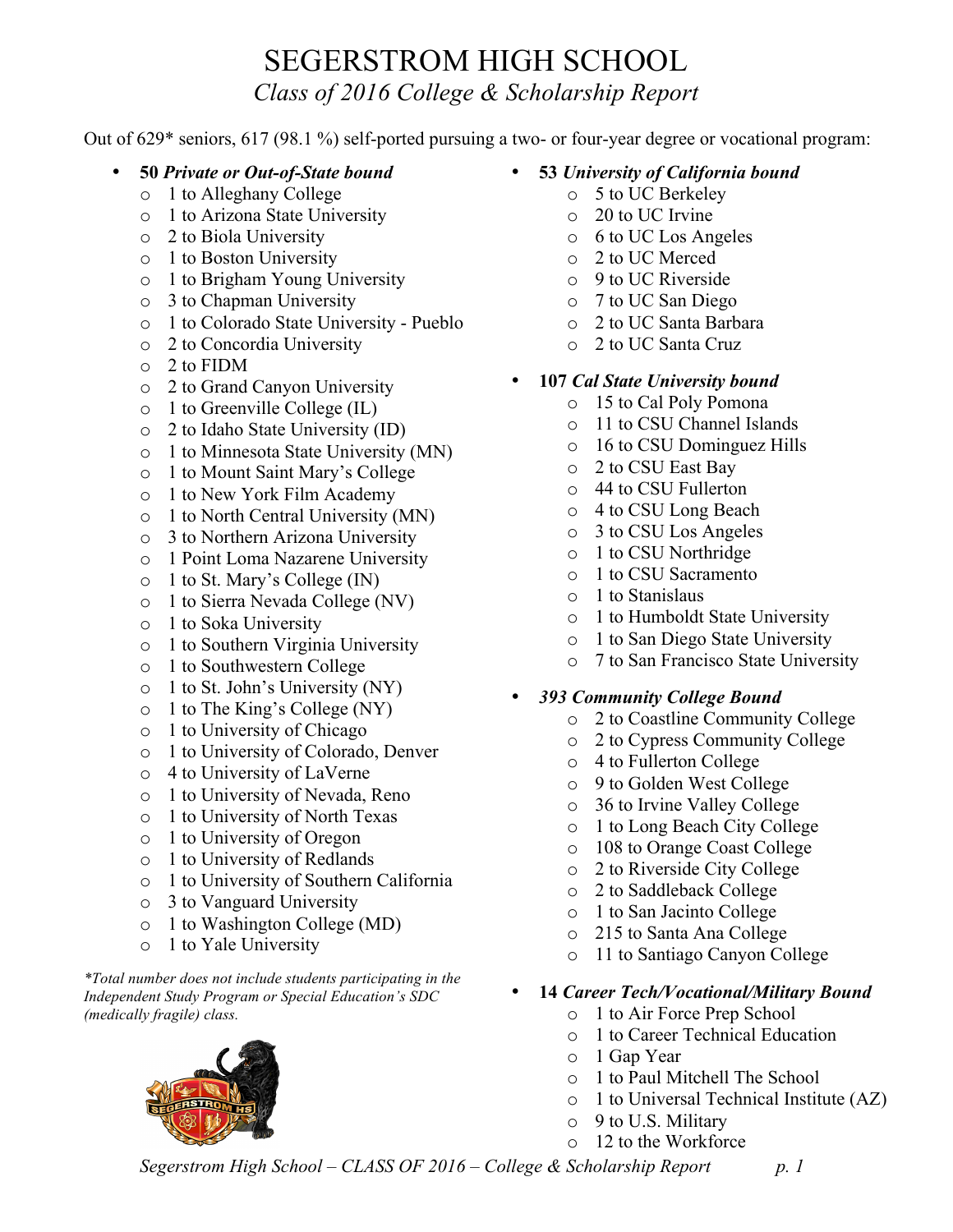## SEGERSTROM HIGH SCHOOL *Class of 2016 College & Scholarship Report*

Out of 629\* seniors, 617 (98.1 %) self-ported pursuing a two- or four-year degree or vocational program:

- **50** *Private or Out-of-State bound*
	- o 1 to Alleghany College
	- o 1 to Arizona State University
	- o 2 to Biola University
	- o 1 to Boston University
	- o 1 to Brigham Young University
	- o 3 to Chapman University
	- o 1 to Colorado State University Pueblo
	- o 2 to Concordia University
	- o 2 to FIDM
	- o 2 to Grand Canyon University
	- o 1 to Greenville College (IL)
	- o 2 to Idaho State University (ID)
	- o 1 to Minnesota State University (MN)
	- o 1 to Mount Saint Mary's College
	- o 1 to New York Film Academy
	- o 1 to North Central University (MN)
	- o 3 to Northern Arizona University
	- o 1 Point Loma Nazarene University
	- o 1 to St. Mary's College (IN)
	- o 1 to Sierra Nevada College (NV)
	- o 1 to Soka University
	- o 1 to Southern Virginia University
	- o 1 to Southwestern College
	- o 1 to St. John's University (NY)
	- o 1 to The King's College (NY)
	- o 1 to University of Chicago
	- o 1 to University of Colorado, Denver
	- o 4 to University of LaVerne
	- o 1 to University of Nevada, Reno
	- o 1 to University of North Texas
	- o 1 to University of Oregon
	- o 1 to University of Redlands
	- o 1 to University of Southern California
	- o 3 to Vanguard University
	- o 1 to Washington College (MD)
	- o 1 to Yale University

*\*Total number does not include students participating in the Independent Study Program or Special Education's SDC (medically fragile) class.*



- **53** *University of California bound*
	- o 5 to UC Berkeley
		- o 20 to UC Irvine
		- o 6 to UC Los Angeles
		- o 2 to UC Merced
		- o 9 to UC Riverside
		- o 7 to UC San Diego
		- o 2 to UC Santa Barbara
		- o 2 to UC Santa Cruz
- **107** *Cal State University bound*
	- o 15 to Cal Poly Pomona
	- o 11 to CSU Channel Islands
	- o 16 to CSU Dominguez Hills
	- o 2 to CSU East Bay
	- o 44 to CSU Fullerton
	- o 4 to CSU Long Beach
	- o 3 to CSU Los Angeles
	- o 1 to CSU Northridge
	- o 1 to CSU Sacramento
	- o 1 to Stanislaus
	- o 1 to Humboldt State University
	- o 1 to San Diego State University
	- o 7 to San Francisco State University

## • *393 Community College Bound*

- o 2 to Coastline Community College
- o 2 to Cypress Community College
- o 4 to Fullerton College
- o 9 to Golden West College
- o 36 to Irvine Valley College
- o 1 to Long Beach City College
- o 108 to Orange Coast College
- o 2 to Riverside City College
- o 2 to Saddleback College
- o 1 to San Jacinto College
- o 215 to Santa Ana College
- o 11 to Santiago Canyon College
- **14** *Career Tech/Vocational/Military Bound*
	- o 1 to Air Force Prep School
	- o 1 to Career Technical Education
	- o 1 Gap Year
	- o 1 to Paul Mitchell The School
	- o 1 to Universal Technical Institute (AZ)
	- o 9 to U.S. Military
	- o 12 to the Workforce

*Segerstrom High School – CLASS OF 2016 – College & Scholarship Report p. 1*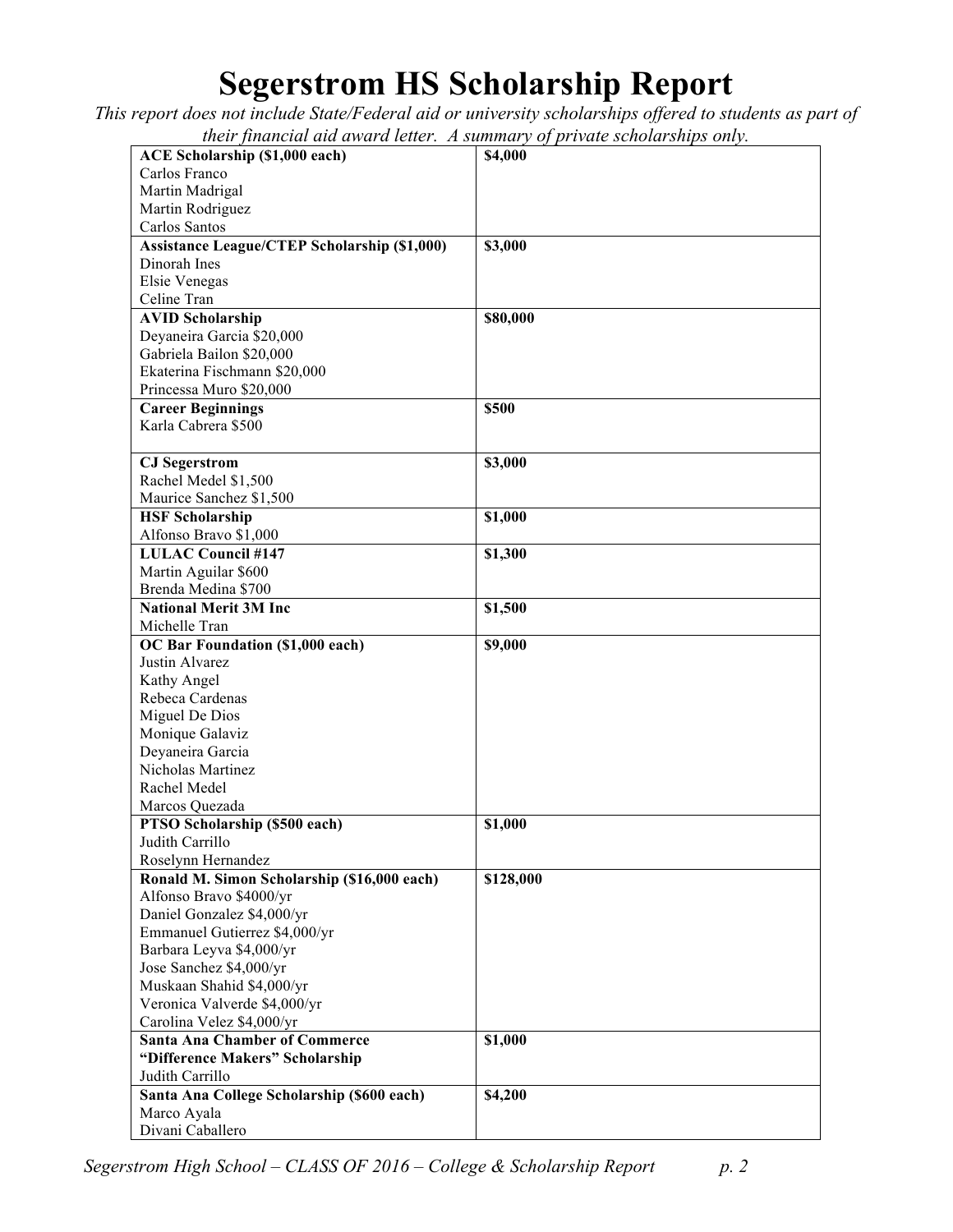## **Segerstrom HS Scholarship Report**

*This report does not include State/Federal aid or university scholarships offered to students as part of their financial aid award letter. A summary of private scholarships only.*

| <b>ACE Scholarship (\$1,000 each)</b>               | their financial and annua iction. It summary of private scholarships only.<br>\$4,000 |
|-----------------------------------------------------|---------------------------------------------------------------------------------------|
| Carlos Franco                                       |                                                                                       |
|                                                     |                                                                                       |
| Martin Madrigal                                     |                                                                                       |
| Martin Rodriguez                                    |                                                                                       |
| Carlos Santos                                       |                                                                                       |
| <b>Assistance League/CTEP Scholarship (\$1,000)</b> | \$3,000                                                                               |
| Dinorah Ines                                        |                                                                                       |
| Elsie Venegas                                       |                                                                                       |
| Celine Tran                                         |                                                                                       |
| <b>AVID Scholarship</b>                             | \$80,000                                                                              |
| Deyaneira Garcia \$20,000                           |                                                                                       |
| Gabriela Bailon \$20,000                            |                                                                                       |
| Ekaterina Fischmann \$20,000                        |                                                                                       |
| Princessa Muro \$20,000                             |                                                                                       |
| <b>Career Beginnings</b>                            | \$500                                                                                 |
| Karla Cabrera \$500                                 |                                                                                       |
|                                                     |                                                                                       |
| <b>CJ</b> Segerstrom                                | \$3,000                                                                               |
| Rachel Medel \$1,500                                |                                                                                       |
| Maurice Sanchez \$1,500                             |                                                                                       |
| <b>HSF Scholarship</b>                              | \$1,000                                                                               |
| Alfonso Bravo \$1,000                               |                                                                                       |
| <b>LULAC Council #147</b>                           | \$1,300                                                                               |
| Martin Aguilar \$600                                |                                                                                       |
| Brenda Medina \$700                                 |                                                                                       |
| <b>National Merit 3M Inc</b>                        | \$1,500                                                                               |
| Michelle Tran                                       |                                                                                       |
| OC Bar Foundation (\$1,000 each)                    | \$9,000                                                                               |
| Justin Alvarez                                      |                                                                                       |
| Kathy Angel                                         |                                                                                       |
| Rebeca Cardenas                                     |                                                                                       |
| Miguel De Dios                                      |                                                                                       |
| Monique Galaviz                                     |                                                                                       |
| Deyaneira Garcia                                    |                                                                                       |
| Nicholas Martinez                                   |                                                                                       |
| Rachel Medel                                        |                                                                                       |
| Marcos Quezada                                      |                                                                                       |
| PTSO Scholarship (\$500 each)                       | \$1,000                                                                               |
| Judith Carrillo                                     |                                                                                       |
| Roselynn Hernandez                                  |                                                                                       |
| Ronald M. Simon Scholarship (\$16,000 each)         | \$128,000                                                                             |
| Alfonso Bravo \$4000/yr                             |                                                                                       |
| Daniel Gonzalez \$4,000/yr                          |                                                                                       |
| Emmanuel Gutierrez \$4,000/yr                       |                                                                                       |
| Barbara Leyva \$4,000/yr                            |                                                                                       |
| Jose Sanchez \$4,000/yr                             |                                                                                       |
| Muskaan Shahid \$4,000/yr                           |                                                                                       |
| Veronica Valverde \$4,000/yr                        |                                                                                       |
| Carolina Velez \$4,000/yr                           |                                                                                       |
| <b>Santa Ana Chamber of Commerce</b>                | \$1,000                                                                               |
| "Difference Makers" Scholarship                     |                                                                                       |
| Judith Carrillo                                     |                                                                                       |
|                                                     |                                                                                       |
| Santa Ana College Scholarship (\$600 each)          | \$4,200                                                                               |
| Marco Ayala                                         |                                                                                       |

*Segerstrom High School – CLASS OF 2016 – College & Scholarship Report p. 2*